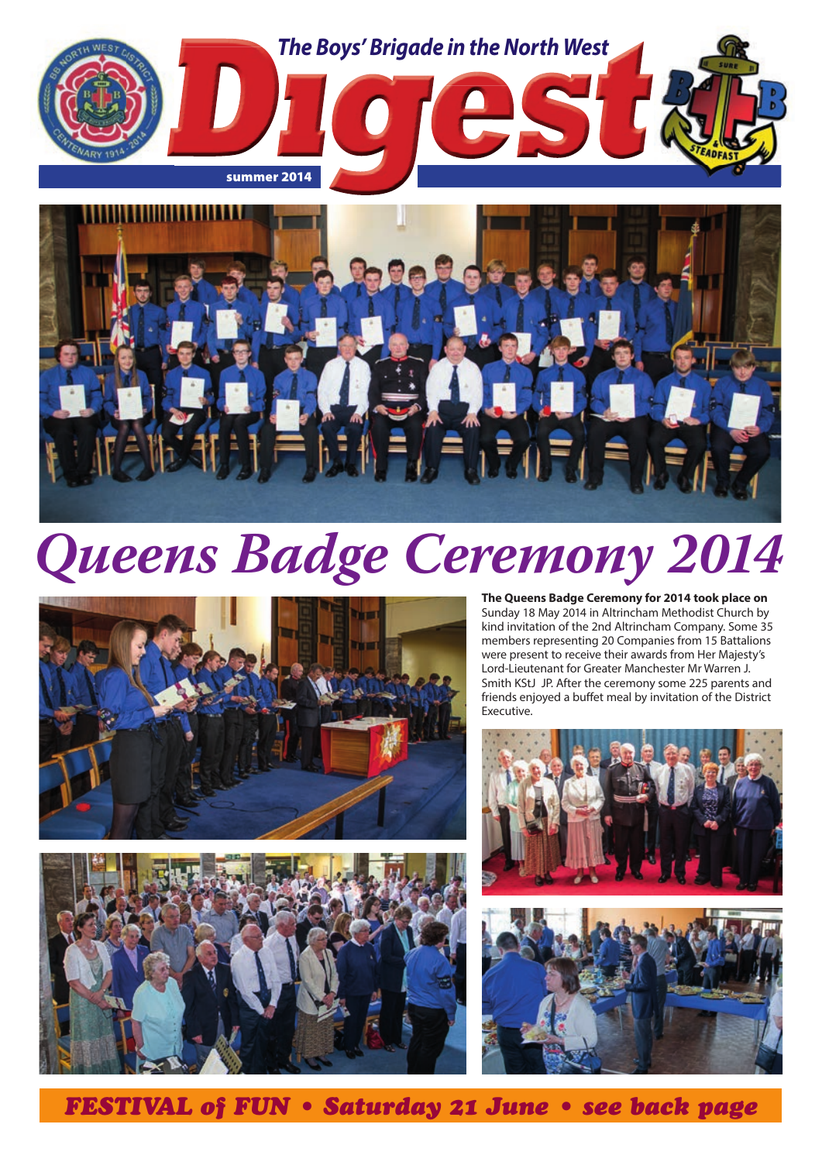

# *Queens Badge Ceremony 2014*





**The Queens Badge Ceremony for 2014 took place on**  Sunday 18 May 2014 in Altrincham Methodist Church by kind invitation of the 2nd Altrincham Company. Some 35 members representing 20 Companies from 15 Battalions were present to receive their awards from Her Majesty's Lord-Lieutenant for Greater Manchester Mr Warren J. Smith KStJ JP. After the ceremony some 225 parents and friends enjoyed a buffet meal by invitation of the District Executive.





*FESTIVAL of FUN • Saturday 21 June • see back page*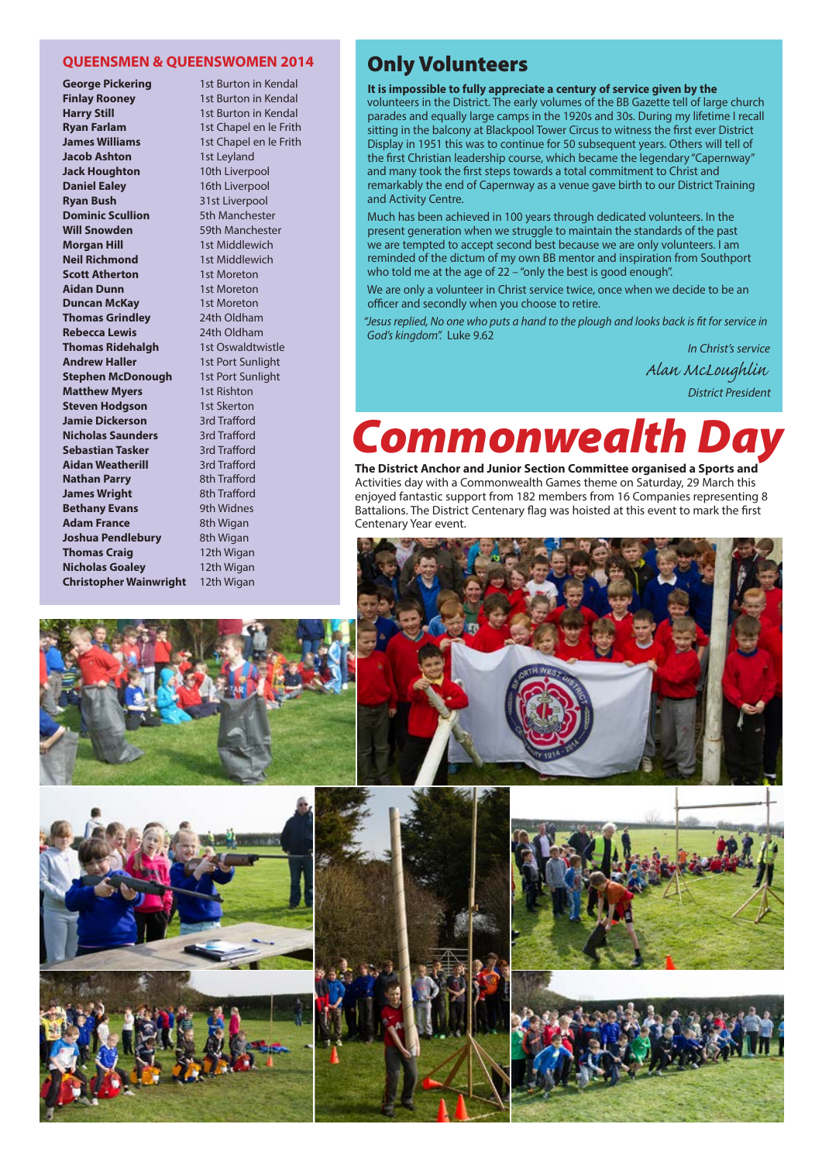#### **QUEENSMEN & QUEENSWOMEN 2014**

**George Pickering** 1st Burton in Kendal **Finlay Rooney** 1st Burton in Kendal **Harry Still** 1st Burton in Kendal **Ryan Farlam** 1st Chapel en le Frith **James Williams** 1st Chapel en le Frith **Jacob Ashton** 1st Leyland **Jack Houghton** 10th Liverpool **Daniel Ealey** 16th Liverpool **Ryan Bush** 31st Liverpool **Dominic Scullion** 5th Manchester **Will Snowden** 59th Manchester **Morgan Hill** 1st Middlewich **Neil Richmond** 1st Middlewich **Scott Atherton** 1st Moreton **Aidan Dunn** 1st Moreton **Duncan McKay** 1st Moreton **Thomas Grindley** 24th Oldham **Rebecca Lewis** 24th Oldham **Thomas Ridehalgh** 1st Oswaldtwistle **Andrew Haller** 1st Port Sunlight **Stephen McDonough** 1st Port Sunlight **Matthew Myers** 1st Rishton **Steven Hodgson** 1st Skerton **Jamie Dickerson** 3rd Trafford **Nicholas Saunders** 3rd Trafford **Sebastian Tasker** 3rd Trafford **Aidan Weatherill** 3rd Trafford **Nathan Parry** 8th Trafford **James Wright** 8th Trafford **Bethany Evans** 9th Widnes **Adam France** 8th Wigan **Joshua Pendlebury** 8th Wigan **Thomas Craig** 12th Wigan **Nicholas Goaley** 12th Wigan **Christopher Wainwright** 12th Wigan

## Only Volunteers

**It is impossible to fully appreciate a century of service given by the**  volunteers in the District. The early volumes of the BB Gazette tell of large church parades and equally large camps in the 1920s and 30s. During my lifetime I recall sitting in the balcony at Blackpool Tower Circus to witness the first ever District Display in 1951 this was to continue for 50 subsequent years. Others will tell of the first Christian leadership course, which became the legendary "Capernway" and many took the first steps towards a total commitment to Christ and remarkably the end of Capernway as a venue gave birth to our District Training and Activity Centre.

Much has been achieved in 100 years through dedicated volunteers. In the present generation when we struggle to maintain the standards of the past we are tempted to accept second best because we are only volunteers. I am reminded of the dictum of my own BB mentor and inspiration from Southport who told me at the age of 22 – "only the best is good enough".

We are only a volunteer in Christ service twice, once when we decide to be an officer and secondly when you choose to retire.

*"Jesus replied, No one who puts a hand to the plough and looks back is fit for service in God's kingdom".* Luke 9.62

*In Christ's service Alan McLoughlin District President*

# **Commonwealt**

**The District Anchor and Junior Section Committee organised a Sports and**  Activities day with a Commonwealth Games theme on Saturday, 29 March this enjoyed fantastic support from 182 members from 16 Companies representing 8 Battalions. The District Centenary flag was hoisted at this event to mark the first Centenary Year event.









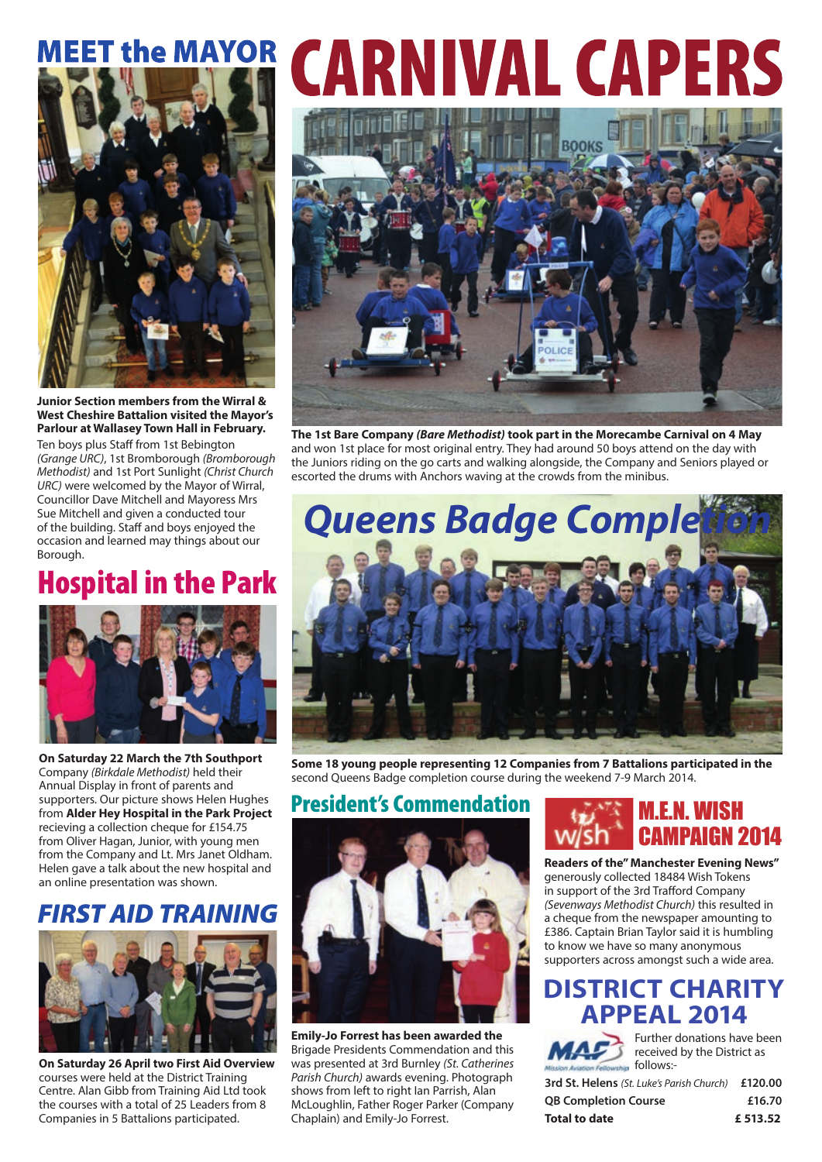# **MEET the MAYOR**



**Junior Section members from the Wirral & West Cheshire Battalion visited the Mayor's Parlour at Wallasey Town Hall in February.**

Ten boys plus Staff from 1st Bebington *(Grange URC)*, 1st Bromborough *(Bromborough Methodist)* and 1st Port Sunlight *(Christ Church URC)* were welcomed by the Mayor of Wirral, Councillor Dave Mitchell and Mayoress Mrs Sue Mitchell and given a conducted tour of the building. Staff and boys enjoyed the occasion and learned may things about our Borough.

## Hospital in the Park



**On Saturday 22 March the 7th Southport**  Company *(Birkdale Methodist)* held their Annual Display in front of parents and supporters. Our picture shows Helen Hughes from **Alder Hey Hospital in the Park Project**  recieving a collection cheque for £154.75 from Oliver Hagan, Junior, with young men from the Company and Lt. Mrs Janet Oldham. Helen gave a talk about the new hospital and an online presentation was shown.

## *FIRST AID TRAINING*



**On Saturday 26 April two First Aid Overview** courses were held at the District Training Centre. Alan Gibb from Training Aid Ltd took the courses with a total of 25 Leaders from 8 Companies in 5 Battalions participated.

# **CARNIVAL CAPERS**



**The 1st Bare Company** *(Bare Methodist)* **took part in the Morecambe Carnival on 4 May**  and won 1st place for most original entry. They had around 50 boys attend on the day with the Juniors riding on the go carts and walking alongside, the Company and Seniors played or escorted the drums with Anchors waving at the crowds from the minibus.



**Some 18 young people representing 12 Companies from 7 Battalions participated in the**  second Queens Badge completion course during the weekend 7-9 March 2014.

President's Commendation



**Emily-Jo Forrest has been awarded the**  Brigade Presidents Commendation and this was presented at 3rd Burnley *(St. Catherines Parish Church)* awards evening. Photograph shows from left to right Ian Parrish, Alan McLoughlin, Father Roger Parker (Company Chaplain) and Emily-Jo Forrest.

## M.E.N. WISH CAMPAIGN 2014

**Readers of the" Manchester Evening News"**  generously collected 18484 Wish Tokens in support of the 3rd Trafford Company *(Sevenways Methodist Church)* this resulted in a cheque from the newspaper amounting to £386. Captain Brian Taylor said it is humbling to know we have so many anonymous supporters across amongst such a wide area.

## **DISTRICT CHARITY APPEAL 2014**



Further donations have been received by the District as

**3rd St. Helens** *(St. Luke's Parish Church)* **£120.00 QB Completion Course £16.70 Total to date £ 513.52**